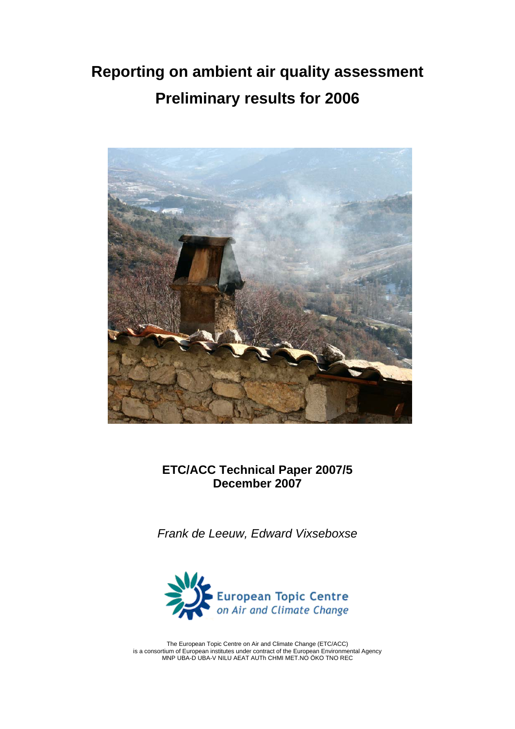# **Reporting on ambient air quality assessment Preliminary results for 2006**



**ETC/ACC Technical Paper 2007/5 December 2007** 

*Frank de Leeuw, Edward Vixseboxse* 



The European Topic Centre on Air and Climate Change (ETC/ACC) is a consortium of European institutes under contract of the European Environmental Agency MNP UBA-D UBA-V NILU AEAT AUTh CHMI MET.NO ÖKO TNO REC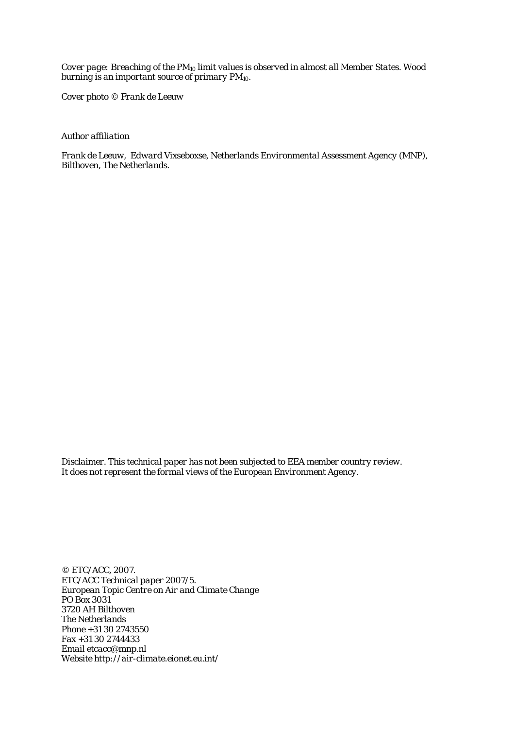*Cover page: Breaching of the PM10 limit values is observed in almost all Member States. Wood burning is an important source of primary PM10.* 

*Cover photo © Frank de Leeuw* 

*Author affiliation* 

*Frank de Leeuw, Edward Vixseboxse, Netherlands Environmental Assessment Agency (MNP), Bilthoven, The Netherlands.* 

*Disclaimer. This technical paper has not been subjected to EEA member country review. It does not represent the formal views of the European Environment Agency.* 

*© ETC/ACC, 2007. ETC/ACC Technical paper 2007/5. European Topic Centre on Air and Climate Change PO Box 3031 3720 AH Bilthoven The Netherlands Phone +31 30 2743550 Fax +31 30 2744433 Email etcacc@mnp.nl Website http://air-climate.eionet.eu.int/*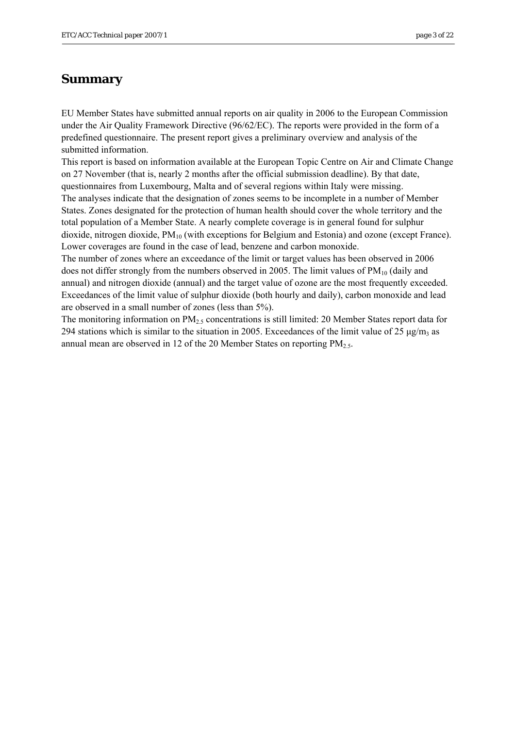## <span id="page-2-0"></span>**Summary**

EU Member States have submitted annual reports on air quality in 2006 to the European Commission under the Air Quality Framework Directive (96/62/EC). The reports were provided in the form of a predefined questionnaire. The present report gives a preliminary overview and analysis of the submitted information.

This report is based on information available at the European Topic Centre on Air and Climate Change on 27 November (that is, nearly 2 months after the official submission deadline). By that date, questionnaires from Luxembourg, Malta and of several regions within Italy were missing.

The analyses indicate that the designation of zones seems to be incomplete in a number of Member States. Zones designated for the protection of human health should cover the whole territory and the total population of a Member State. A nearly complete coverage is in general found for sulphur dioxide, nitrogen dioxide, PM10 (with exceptions for Belgium and Estonia) and ozone (except France). Lower coverages are found in the case of lead, benzene and carbon monoxide.

The number of zones where an exceedance of the limit or target values has been observed in 2006 does not differ strongly from the numbers observed in 2005. The limit values of  $PM_{10}$  (daily and annual) and nitrogen dioxide (annual) and the target value of ozone are the most frequently exceeded. Exceedances of the limit value of sulphur dioxide (both hourly and daily), carbon monoxide and lead are observed in a small number of zones (less than 5%).

The monitoring information on  $PM<sub>2.5</sub>$  concentrations is still limited: 20 Member States report data for 294 stations which is similar to the situation in 2005. Exceedances of the limit value of 25  $\mu$ g/m<sub>3</sub> as annual mean are observed in 12 of the 20 Member States on reporting  $PM_{2.5}$ .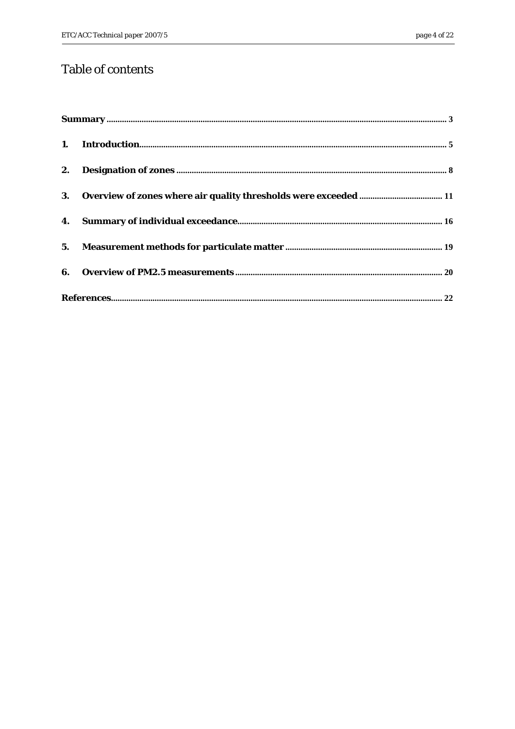## Table of contents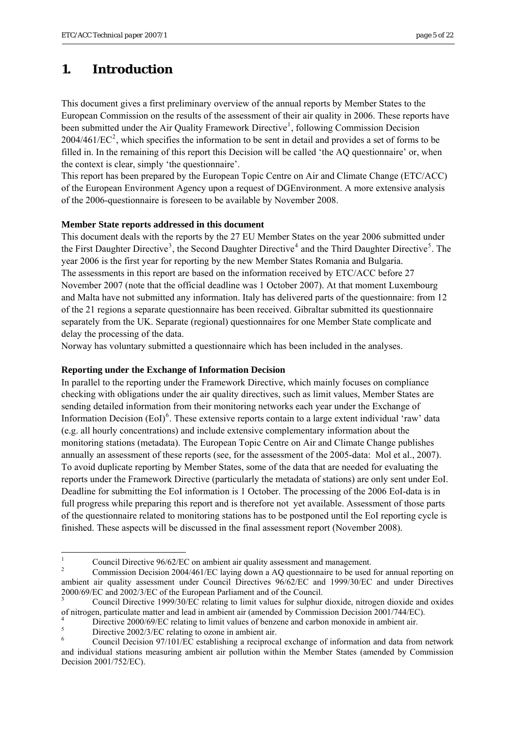## <span id="page-4-0"></span>**1. Introduction**

This document gives a first preliminary overview of the annual reports by Member States to the European Commission on the results of the assessment of their air quality in 2006. These reports have been submitted under the Air Quality Framework Directive<sup>[1](#page-4-1)</sup>, following Commission Decision  $2004/461/EC^2$  $2004/461/EC^2$ , which specifies the information to be sent in detail and provides a set of forms to be filled in. In the remaining of this report this Decision will be called 'the AQ questionnaire' or, when the context is clear, simply 'the questionnaire'.

This report has been prepared by the European Topic Centre on Air and Climate Change (ETC/ACC) of the European Environment Agency upon a request of DGEnvironment. A more extensive analysis of the 2006-questionnaire is foreseen to be available by November 2008.

### **Member State reports addressed in this document**

This document deals with the reports by the 27 EU Member States on the year 2006 submitted under the First Daughter Directive<sup>[3](#page-4-3)</sup>, the Second Daughter Directive<sup>[4](#page-4-4)</sup> and the Third Daughter Directive<sup>[5](#page-4-5)</sup>. The year 2006 is the first year for reporting by the new Member States Romania and Bulgaria. The assessments in this report are based on the information received by ETC/ACC before 27 November 2007 (note that the official deadline was 1 October 2007). At that moment Luxembourg and Malta have not submitted any information. Italy has delivered parts of the questionnaire: from 12 of the 21 regions a separate questionnaire has been received. Gibraltar submitted its questionnaire separately from the UK. Separate (regional) questionnaires for one Member State complicate and delay the processing of the data.

Norway has voluntary submitted a questionnaire which has been included in the analyses.

### **Reporting under the Exchange of Information Decision**

In parallel to the reporting under the Framework Directive, which mainly focuses on compliance checking with obligations under the air quality directives, such as limit values, Member States are sending detailed information from their monitoring networks each year under the Exchange of Information Decision (EoI)<sup>[6](#page-4-6)</sup>. These extensive reports contain to a large extent individual 'raw' data (e.g. all hourly concentrations) and include extensive complementary information about the monitoring stations (metadata). The European Topic Centre on Air and Climate Change publishes annually an assessment of these reports (see, for the assessment of the 2005-data: Mol et al., 2007). To avoid duplicate reporting by Member States, some of the data that are needed for evaluating the reports under the Framework Directive (particularly the metadata of stations) are only sent under EoI. Deadline for submitting the EoI information is 1 October. The processing of the 2006 EoI-data is in full progress while preparing this report and is therefore not yet available. Assessment of those parts of the questionnaire related to monitoring stations has to be postponed until the EoI reporting cycle is finished. These aspects will be discussed in the final assessment report (November 2008).

 $\frac{1}{1}$ Council Directive 96/62/EC on ambient air quality assessment and management.

<sup>2</sup> Commission Decision 2004/461/EC laying down a AQ questionnaire to be used for annual reporting on ambient air quality assessment under Council Directives 96/62/EC and 1999/30/EC and under Directives 2000/69/EC and 2002/3/EC of the European Parliament and of the Council.

<sup>3</sup> Council Directive 1999/30/EC relating to limit values for sulphur dioxide, nitrogen dioxide and oxides of nitrogen, particulate matter and lead in ambient air (amended by Commission Decision 2001/744/EC).

<sup>4</sup> Directive 2000/69/EC relating to limit values of benzene and carbon monoxide in ambient air.

<sup>5</sup> Directive 2002/3/EC relating to ozone in ambient air.

<span id="page-4-6"></span><span id="page-4-5"></span><span id="page-4-4"></span><span id="page-4-3"></span><span id="page-4-2"></span><span id="page-4-1"></span><sup>6</sup> Council Decision 97/101/EC establishing a reciprocal exchange of information and data from network and individual stations measuring ambient air pollution within the Member States (amended by Commission Decision 2001/752/EC).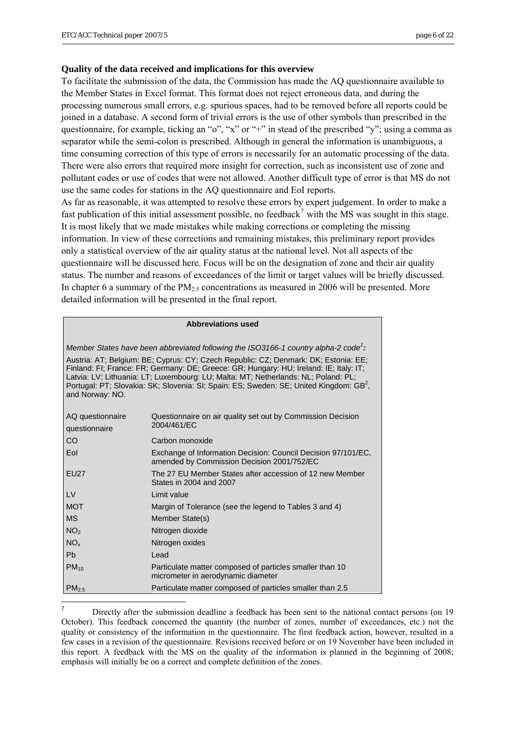### **Quality of the data received and implications for this overview**

To facilitate the submission of the data, the Commission has made the AQ questionnaire available to the Member States in Excel format. This format does not reject erroneous data, and during the processing numerous small errors, e.g. spurious spaces, had to be removed before all reports could be joined in a database. A second form of trivial errors is the use of other symbols than prescribed in the questionnaire, for example, ticking an "o", "x" or "+" in stead of the prescribed "y"; using a comma as separator while the semi-colon is prescribed. Although in general the information is unambiguous, a time consuming correction of this type of errors is necessarily for an automatic processing of the data. There were also errors that required more insight for correction, such as inconsistent use of zone and pollutant codes or use of codes that were not allowed. Another difficult type of error is that MS do not use the same codes for stations in the AQ questionnaire and EoI reports.

As far as reasonable, it was attempted to resolve these errors by expert judgement. In order to make a fast publication of this initial assessment possible, no feedback<sup>[7](#page-5-0)</sup> with the MS was sought in this stage. It is most likely that we made mistakes while making corrections or completing the missing information. In view of these corrections and remaining mistakes, this preliminary report provides only a statistical overview of the air quality status at the national level. Not all aspects of the questionnaire will be discussed here. Focus will be on the designation of zone and their air quality status. The number and reasons of exceedances of the limit or target values will be briefly discussed. In chapter 6 a summary of the  $PM<sub>2.5</sub>$  concentrations as measured in 2006 will be presented. More detailed information will be presented in the final report.

| <b>Abbreviations used</b> |  |
|---------------------------|--|
|                           |  |

| Member States have been abbreviated following the ISO3166-1 country alpha-2 code':<br>Austria: AT; Belgium: BE; Cyprus: CY; Czech Republic: CZ; Denmark: DK; Estonia: EE;<br>Finland: FI; France: FR; Germany: DE; Greece: GR; Hungary: HU; Ireland: IE; Italy: IT;<br>Latvia: LV; Lithuania: LT; Luxembourg: LU; Malta: MT; Netherlands: NL; Poland: PL;<br>Portugal: PT; Slovakia: SK; Slovenia: SI; Spain: ES; Sweden: SE; United Kingdom: GB <sup>2</sup> ,<br>and Norway: NO. |                                                                                                             |  |  |  |  |  |  |  |  |
|------------------------------------------------------------------------------------------------------------------------------------------------------------------------------------------------------------------------------------------------------------------------------------------------------------------------------------------------------------------------------------------------------------------------------------------------------------------------------------|-------------------------------------------------------------------------------------------------------------|--|--|--|--|--|--|--|--|
| AQ questionnaire<br>Questionnaire on air quality set out by Commission Decision<br>2004/461/EC<br>questionnaire                                                                                                                                                                                                                                                                                                                                                                    |                                                                                                             |  |  |  |  |  |  |  |  |
| CO                                                                                                                                                                                                                                                                                                                                                                                                                                                                                 | Carbon monoxide                                                                                             |  |  |  |  |  |  |  |  |
| Eol                                                                                                                                                                                                                                                                                                                                                                                                                                                                                | Exchange of Information Decision: Council Decision 97/101/EC,<br>amended by Commission Decision 2001/752/EC |  |  |  |  |  |  |  |  |
| <b>EU27</b>                                                                                                                                                                                                                                                                                                                                                                                                                                                                        | The 27 EU Member States after accession of 12 new Member<br>States in 2004 and 2007                         |  |  |  |  |  |  |  |  |
| $\mathsf{IV}$                                                                                                                                                                                                                                                                                                                                                                                                                                                                      | Limit value                                                                                                 |  |  |  |  |  |  |  |  |
| <b>MOT</b>                                                                                                                                                                                                                                                                                                                                                                                                                                                                         | Margin of Tolerance (see the legend to Tables 3 and 4)                                                      |  |  |  |  |  |  |  |  |
| <b>MS</b>                                                                                                                                                                                                                                                                                                                                                                                                                                                                          | Member State(s)                                                                                             |  |  |  |  |  |  |  |  |
| NO <sub>2</sub>                                                                                                                                                                                                                                                                                                                                                                                                                                                                    | Nitrogen dioxide                                                                                            |  |  |  |  |  |  |  |  |
| NO <sub>x</sub>                                                                                                                                                                                                                                                                                                                                                                                                                                                                    | Nitrogen oxides                                                                                             |  |  |  |  |  |  |  |  |
| Ph                                                                                                                                                                                                                                                                                                                                                                                                                                                                                 | Lead                                                                                                        |  |  |  |  |  |  |  |  |
| $PM_{10}$                                                                                                                                                                                                                                                                                                                                                                                                                                                                          | Particulate matter composed of particles smaller than 10<br>micrometer in aerodynamic diameter              |  |  |  |  |  |  |  |  |
| PM <sub>2.5</sub>                                                                                                                                                                                                                                                                                                                                                                                                                                                                  | Particulate matter composed of particles smaller than 2.5                                                   |  |  |  |  |  |  |  |  |

<span id="page-5-0"></span><sup>–&</sup>lt;br>7 Directly after the submission deadline a feedback has been sent to the national contact persons (on 19 October). This feedback concerned the quantity (the number of zones, number of exceedances, etc.) not the quality or consistency of the information in the questionnaire. The first feedback action, however, resulted in a few cases in a revision of the questionnaire. Revisions received before or on 19 November have been included in this report. A feedback with the MS on the quality of the information is planned in the beginning of 2008; emphasis will initially be on a correct and complete definition of the zones.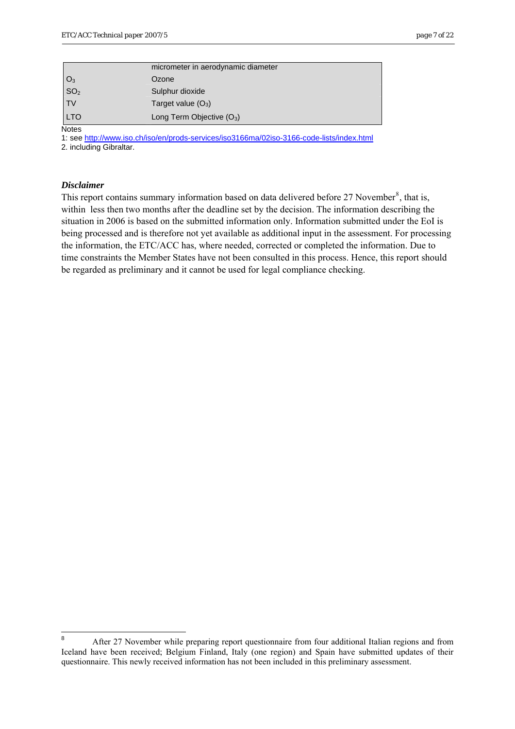<span id="page-6-0"></span>

|                 | micrometer in aerodynamic diameter |
|-----------------|------------------------------------|
|                 | Ozone                              |
| $O_3$<br>$SO_2$ | Sulphur dioxide                    |
| <b>TV</b>       | Target value $(O_3)$               |
| <b>LTO</b>      | Long Term Objective $(O_3)$        |

**Notes** 

1: see <http://www.iso.ch/iso/en/prods-services/iso3166ma/02iso-3166-code-lists/index.html> 2. including Gibraltar.

## *Disclaimer*

This report contains summary information based on data delivered before  $27$  November<sup>[8](#page-6-0)</sup>, that is, within less then two months after the deadline set by the decision. The information describing the situation in 2006 is based on the submitted information only. Information submitted under the EoI is being processed and is therefore not yet available as additional input in the assessment. For processing the information, the ETC/ACC has, where needed, corrected or completed the information. Due to time constraints the Member States have not been consulted in this process. Hence, this report should be regarded as preliminary and it cannot be used for legal compliance checking.

 $\frac{1}{8}$  After 27 November while preparing report questionnaire from four additional Italian regions and from Iceland have been received; Belgium Finland, Italy (one region) and Spain have submitted updates of their questionnaire. This newly received information has not been included in this preliminary assessment.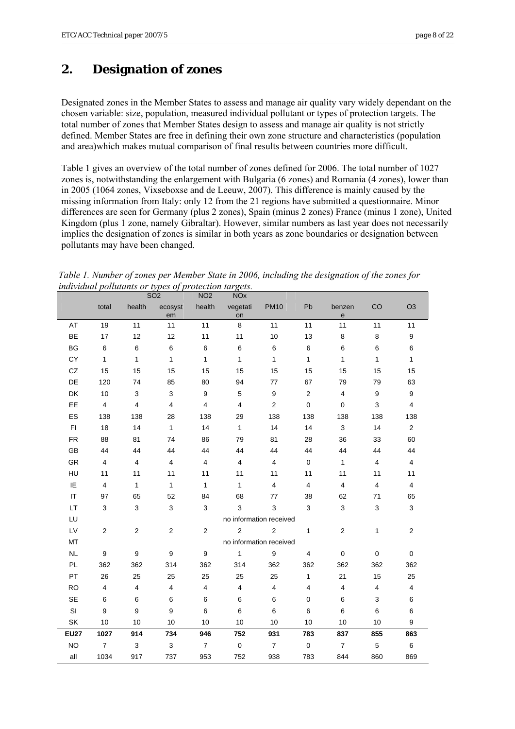## <span id="page-7-0"></span>**2. Designation of zones**

Designated zones in the Member States to assess and manage air quality vary widely dependant on the chosen variable: size, population, measured individual pollutant or types of protection targets. The total number of zones that Member States design to assess and manage air quality is not strictly defined. Member States are free in defining their own zone structure and characteristics (population and area)which makes mutual comparison of final results between countries more difficult.

Table 1 gives an overview of the total number of zones defined for 2006. The total number of 1027 zones is, notwithstanding the enlargement with Bulgaria (6 zones) and Romania (4 zones), lower than in 2005 (1064 zones, Vixseboxse and de Leeuw, 2007). This difference is mainly caused by the missing information from Italy: only 12 from the 21 regions have submitted a questionnaire. Minor differences are seen for Germany (plus 2 zones), Spain (minus 2 zones) France (minus 1 zone), United Kingdom (plus 1 zone, namely Gibraltar). However, similar numbers as last year does not necessarily implies the designation of zones is similar in both years as zone boundaries or designation between pollutants may have been changed.

*Table 1. Number of zones per Member State in 2006, including the designation of the zones for individual pollutants or types of protection targets.* 

|             |                         |                         | <b>SO2</b>              | NO <sub>2</sub>         | <b>NOx</b>              |                  |                         |                                             |                         |                         |
|-------------|-------------------------|-------------------------|-------------------------|-------------------------|-------------------------|------------------|-------------------------|---------------------------------------------|-------------------------|-------------------------|
|             | total                   | health                  | ecosyst<br>em           | health                  | vegetati<br>on          | <b>PM10</b>      | Pb                      | benzen<br>$\mathsf{e}% _{t}\left( t\right)$ | CO                      | O <sub>3</sub>          |
| AT          | 19                      | 11                      | 11                      | 11                      | 8                       | 11               | 11                      | 11                                          | 11                      | 11                      |
| <b>BE</b>   | 17                      | 12                      | 12                      | 11                      | 11                      | 10               | 13                      | 8                                           | 8                       | 9                       |
| BG          | 6                       | 6                       | 6                       | 6                       | 6                       | 6                | $\,6\,$                 | 6                                           | 6                       | 6                       |
| CY          | $\mathbf{1}$            | $\mathbf{1}$            | $\mathbf{1}$            | $\mathbf{1}$            | $\mathbf{1}$            | $\mathbf{1}$     | $\mathbf{1}$            | $\mathbf{1}$                                | $\mathbf{1}$            | $\mathbf{1}$            |
| CZ          | 15                      | 15                      | 15                      | 15                      | 15                      | 15               | 15                      | 15                                          | 15                      | 15                      |
| DE          | 120                     | 74                      | 85                      | 80                      | 94                      | 77               | 67                      | 79                                          | 79                      | 63                      |
| DK          | 10                      | 3                       | 3                       | 9                       | 5                       | $\boldsymbol{9}$ | $\sqrt{2}$              | $\overline{4}$                              | $\boldsymbol{9}$        | $\boldsymbol{9}$        |
| EE          | $\overline{\mathbf{4}}$ | $\overline{\mathbf{4}}$ | $\overline{4}$          | $\overline{\mathbf{4}}$ | $\overline{4}$          | $\overline{2}$   | $\pmb{0}$               | $\pmb{0}$                                   | 3                       | $\overline{\mathbf{4}}$ |
| ES          | 138                     | 138                     | 28                      | 138                     | 29                      | 138              | 138                     | 138                                         | 138                     | 138                     |
| FI          | 18                      | 14                      | $\mathbf{1}$            | 14                      | $\mathbf{1}$            | 14               | 14                      | 3                                           | 14                      | $\overline{\mathbf{c}}$ |
| <b>FR</b>   | 88                      | 81                      | 74                      | 86                      | 79                      | 81               | 28                      | 36                                          | 33                      | 60                      |
| GB          | 44                      | 44                      | 44                      | 44                      | 44                      | 44               | 44                      | 44                                          | 44                      | 44                      |
| GR          | $\overline{\mathbf{4}}$ | 4                       | $\overline{4}$          | 4                       | $\overline{4}$          | 4                | $\mathbf 0$             | $\mathbf{1}$                                | $\overline{4}$          | $\overline{4}$          |
| HU          | 11                      | 11                      | 11                      | 11                      | 11                      | 11               | 11                      | 11                                          | 11                      | 11                      |
| IE          | $\overline{\mathbf{4}}$ | 1                       | 1                       | 1                       | $\mathbf{1}$            | 4                | $\overline{4}$          | $\overline{\mathbf{4}}$                     | $\overline{\mathbf{4}}$ | 4                       |
| IT          | 97                      | 65                      | 52                      | 84                      | 68                      | 77               | 38                      | 62                                          | 71                      | 65                      |
| LT          | 3                       | 3                       | 3                       | 3                       | 3                       | 3                | 3                       | 3                                           | $\mathsf 3$             | 3                       |
| LU          |                         |                         |                         |                         | no information received |                  |                         |                                             |                         |                         |
| LV          | $\overline{\mathbf{c}}$ | $\overline{\mathbf{c}}$ | $\boldsymbol{2}$        | $\mathbf{2}$            | $\overline{2}$          | $\overline{2}$   | $\mathbf{1}$            | $\overline{\mathbf{c}}$                     | $\mathbf{1}$            | $\overline{c}$          |
| MT          |                         |                         |                         |                         | no information received |                  |                         |                                             |                         |                         |
| NL          | 9                       | $\boldsymbol{9}$        | $\boldsymbol{9}$        | $\boldsymbol{9}$        | $\mathbf{1}$            | 9                | $\overline{\mathbf{4}}$ | $\pmb{0}$                                   | $\pmb{0}$               | $\mathbf 0$             |
| PL          | 362                     | 362                     | 314                     | 362                     | 314                     | 362              | 362                     | 362                                         | 362                     | 362                     |
| PT          | 26                      | 25                      | 25                      | 25                      | 25                      | 25               | $\mathbf{1}$            | 21                                          | 15                      | 25                      |
| <b>RO</b>   | $\overline{4}$          | 4                       | $\overline{\mathbf{4}}$ | 4                       | $\overline{4}$          | 4                | $\overline{4}$          | $\overline{4}$                              | $\overline{4}$          | 4                       |
| SE          | 6                       | 6                       | 6                       | 6                       | 6                       | 6                | $\mathbf 0$             | 6                                           | 3                       | 6                       |
| SI          | 9                       | 9                       | 9                       | 6                       | 6                       | 6                | 6                       | 6                                           | 6                       | 6                       |
| SK          | 10                      | 10                      | 10                      | 10                      | 10                      | 10               | 10                      | 10                                          | 10                      | 9                       |
| <b>EU27</b> | 1027                    | 914                     | 734                     | 946                     | 752                     | 931              | 783                     | 837                                         | 855                     | 863                     |
| <b>NO</b>   | $\overline{7}$          | 3                       | 3                       | $\overline{7}$          | $\mathbf 0$             | $\overline{7}$   | $\mathbf 0$             | $\overline{7}$                              | 5                       | 6                       |
| all         | 1034                    | 917                     | 737                     | 953                     | 752                     | 938              | 783                     | 844                                         | 860                     | 869                     |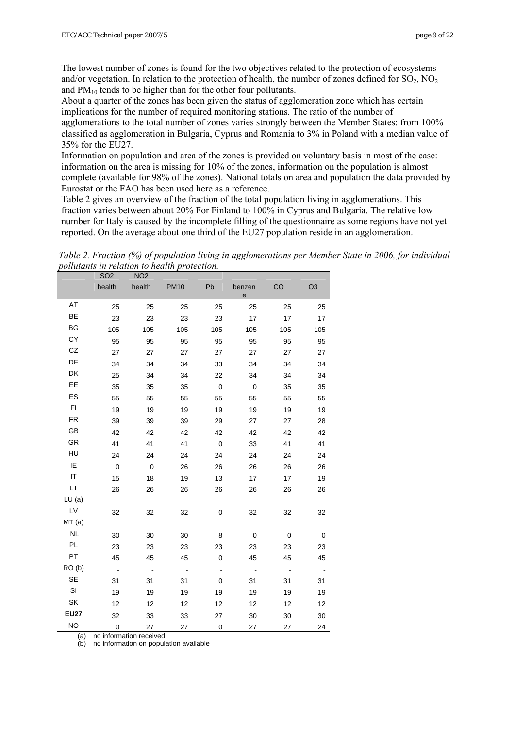The lowest number of zones is found for the two objectives related to the protection of ecosystems and/or vegetation. In relation to the protection of health, the number of zones defined for  $SO_2$ ,  $NO_2$ and  $PM_{10}$  tends to be higher than for the other four pollutants.

About a quarter of the zones has been given the status of agglomeration zone which has certain implications for the number of required monitoring stations. The ratio of the number of agglomerations to the total number of zones varies strongly between the Member States: from 100% classified as agglomeration in Bulgaria, Cyprus and Romania to 3% in Poland with a median value of 35% for the EU27.

Information on population and area of the zones is provided on voluntary basis in most of the case: information on the area is missing for 10% of the zones, information on the population is almost complete (available for 98% of the zones). National totals on area and population the data provided by Eurostat or the FAO has been used here as a reference.

Table 2 gives an overview of the fraction of the total population living in agglomerations. This fraction varies between about 20% For Finland to 100% in Cyprus and Bulgaria. The relative low number for Italy is caused by the incomplete filling of the questionnaire as some regions have not yet reported. On the average about one third of the EU27 population reside in an agglomeration.

*Table 2. Fraction (%) of population living in agglomerations per Member State in 2006, for individual pollutants in relation to health protection.* 

|               | SO <sub>2</sub> | NO <sub>2</sub>          |             |                |             |           |                |
|---------------|-----------------|--------------------------|-------------|----------------|-------------|-----------|----------------|
|               | health          | health                   | <b>PM10</b> | Pb             | benzen<br>e | CO        | O <sub>3</sub> |
| AT            | 25              | 25                       | 25          | 25             | 25          | 25        | 25             |
| BE            | 23              | 23                       | 23          | 23             | 17          | 17        | 17             |
| BG            | 105             | 105                      | 105         | 105            | 105         | 105       | 105            |
| СY            | 95              | 95                       | 95          | 95             | 95          | 95        | 95             |
| CZ            | 27              | 27                       | 27          | 27             | 27          | 27        | 27             |
| DE            | 34              | 34                       | 34          | 33             | 34          | 34        | 34             |
| DK            | 25              | 34                       | 34          | 22             | 34          | 34        | 34             |
| EE            | 35              | 35                       | 35          | $\mathbf 0$    | $\mathbf 0$ | 35        | 35             |
| ES            | 55              | 55                       | 55          | 55             | 55          | 55        | 55             |
| F1            | 19              | 19                       | 19          | 19             | 19          | 19        | 19             |
| FR            | 39              | 39                       | 39          | 29             | 27          | 27        | 28             |
| GB            | 42              | 42                       | 42          | 42             | 42          | 42        | 42             |
| GR            | 41              | 41                       | 41          | $\mathbf 0$    | 33          | 41        | 41             |
| HU            | 24              | 24                       | 24          | 24             | 24          | 24        | 24             |
| IE            | $\mathbf 0$     | $\overline{0}$           | 26          | 26             | 26          | 26        | 26             |
| IT            | 15              | 18                       | 19          | 13             | 17          | 17        | 19             |
| LT            | 26              | 26                       | 26          | 26             | 26          | 26        | 26             |
| LU(a)         |                 |                          |             |                |             |           |                |
| $\mathsf{LV}$ | 32              | 32                       | 32          | 0              | 32          | 32        | 32             |
| MT(a)         |                 |                          |             |                |             |           |                |
| <b>NL</b>     | 30              | 30                       | 30          | 8              | $\mathbf 0$ | $\pmb{0}$ | $\mathbf 0$    |
| <b>PL</b>     | 23              | 23                       | 23          | 23             | 23          | 23        | 23             |
| PT            | 45              | 45                       | 45          | $\mathbf 0$    | 45          | 45        | 45             |
| RO(b)         | $\sim$          | $\overline{\phantom{a}}$ | $\sim$      | $\blacksquare$ | $\sim$      | $\sim$    | $\sim$         |
| SE            | 31              | 31                       | 31          | 0              | 31          | 31        | 31             |
| SI            | 19              | 19                       | 19          | 19             | 19          | 19        | 19             |
| SK            | 12              | 12                       | 12          | 12             | 12          | 12        | 12             |
| <b>EU27</b>   | 32              | 33                       | 33          | 27             | 30          | 30        | 30             |
| <b>NO</b>     | $\pmb{0}$       | 27                       | 27          | $\pmb{0}$      | 27          | 27        | 24             |

(a) no information received

(b) no information on population available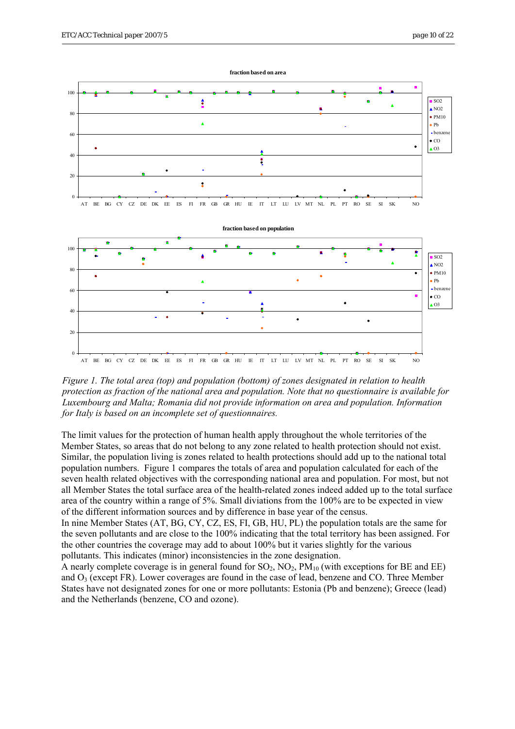

*Figure 1. The total area (top) and population (bottom) of zones designated in relation to health protection as fraction of the national area and population. Note that no questionnaire is available for Luxembourg and Malta; Romania did not provide information on area and population. Information for Italy is based on an incomplete set of questionnaires.* 

The limit values for the protection of human health apply throughout the whole territories of the Member States, so areas that do not belong to any zone related to health protection should not exist. Similar, the population living is zones related to health protections should add up to the national total population numbers. Figure 1 compares the totals of area and population calculated for each of the seven health related objectives with the corresponding national area and population. For most, but not all Member States the total surface area of the health-related zones indeed added up to the total surface area of the country within a range of 5%. Small diviations from the 100% are to be expected in view of the different information sources and by difference in base year of the census.

In nine Member States (AT, BG, CY, CZ, ES, FI, GB, HU, PL) the population totals are the same for the seven pollutants and are close to the 100% indicating that the total territory has been assigned. For the other countries the coverage may add to about 100% but it varies slightly for the various pollutants. This indicates (minor) inconsistencies in the zone designation.

A nearly complete coverage is in general found for  $SO_2$ ,  $NO_2$ ,  $PM_{10}$  (with exceptions for BE and EE) and  $O_3$  (except FR). Lower coverages are found in the case of lead, benzene and CO. Three Member States have not designated zones for one or more pollutants: Estonia (Pb and benzene); Greece (lead) and the Netherlands (benzene, CO and ozone).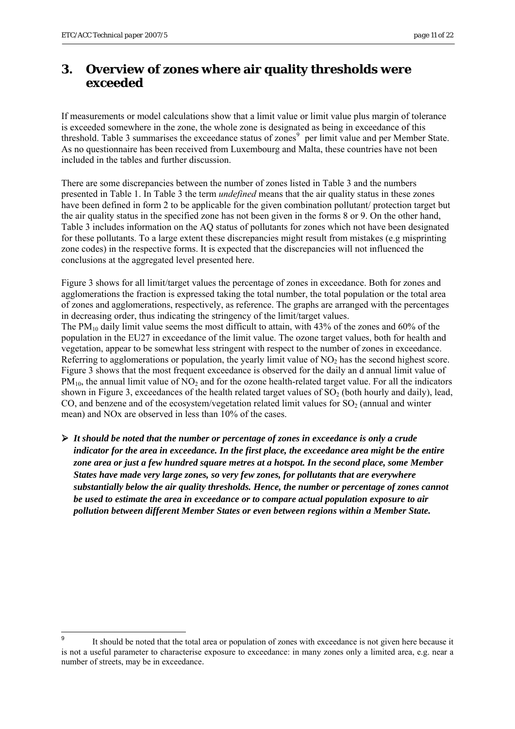1

### <span id="page-10-0"></span>**3. Overview of zones where air quality thresholds were exceeded**

If measurements or model calculations show that a limit value or limit value plus margin of tolerance is exceeded somewhere in the zone, the whole zone is designated as being in exceedance of this threshold. Table 3 summarises the exceedance status of zones<sup>[9](#page-10-0)</sup> per limit value and per Member State. As no questionnaire has been received from Luxembourg and Malta, these countries have not been included in the tables and further discussion.

There are some discrepancies between the number of zones listed in Table 3 and the numbers presented in Table 1. In Table 3 the term *undefined* means that the air quality status in these zones have been defined in form 2 to be applicable for the given combination pollutant/ protection target but the air quality status in the specified zone has not been given in the forms 8 or 9. On the other hand, Table 3 includes information on the AQ status of pollutants for zones which not have been designated for these pollutants. To a large extent these discrepancies might result from mistakes (e.g misprinting zone codes) in the respective forms. It is expected that the discrepancies will not influenced the conclusions at the aggregated level presented here.

Figure 3 shows for all limit/target values the percentage of zones in exceedance. Both for zones and agglomerations the fraction is expressed taking the total number, the total population or the total area of zones and agglomerations, respectively, as reference. The graphs are arranged with the percentages in decreasing order, thus indicating the stringency of the limit/target values. The PM10 daily limit value seems the most difficult to attain, with 43% of the zones and 60% of the population in the EU27 in exceedance of the limit value. The ozone target values, both for health and vegetation, appear to be somewhat less stringent with respect to the number of zones in exceedance. Referring to agglomerations or population, the yearly limit value of  $NO<sub>2</sub>$  has the second highest score. Figure 3 shows that the most frequent exceedance is observed for the daily an d annual limit value of  $PM_{10}$ , the annual limit value of  $NO<sub>2</sub>$  and for the ozone health-related target value. For all the indicators shown in Figure 3, exceedances of the health related target values of  $SO<sub>2</sub>$  (both hourly and daily), lead, CO, and benzene and of the ecosystem/vegetation related limit values for  $SO<sub>2</sub>$  (annual and winter mean) and NOx are observed in less than 10% of the cases.

¾ *It should be noted that the number or percentage of zones in exceedance is only a crude indicator for the area in exceedance. In the first place, the exceedance area might be the entire zone area or just a few hundred square metres at a hotspot. In the second place, some Member States have made very large zones, so very few zones, for pollutants that are everywhere substantially below the air quality thresholds. Hence, the number or percentage of zones cannot be used to estimate the area in exceedance or to compare actual population exposure to air pollution between different Member States or even between regions within a Member State.* 

<sup>9</sup> It should be noted that the total area or population of zones with exceedance is not given here because it is not a useful parameter to characterise exposure to exceedance: in many zones only a limited area, e.g. near a number of streets, may be in exceedance.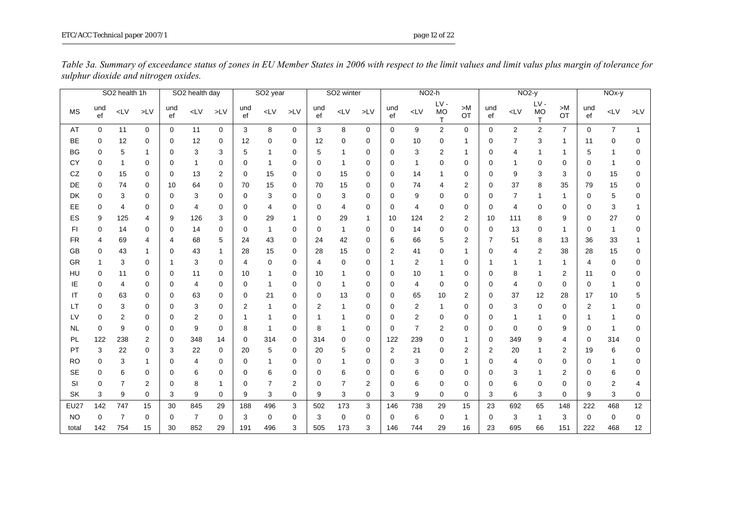|             | SO <sub>2</sub> health 1h<br>SO2 health day |                |                | SO <sub>2</sub> year |                |        | SO <sub>2</sub> winter |                | NO <sub>2-h</sub> |           |                | $NO2-y$        |                |                |                                     | NOx-y          |             |       |                   |                |             |                  |              |
|-------------|---------------------------------------------|----------------|----------------|----------------------|----------------|--------|------------------------|----------------|-------------------|-----------|----------------|----------------|----------------|----------------|-------------------------------------|----------------|-------------|-------|-------------------|----------------|-------------|------------------|--------------|
| MS          | und<br>ef                                   | $L$ V          | $\mathsf{LV}$  | und<br>ef            | $\mathsf{cLV}$ | $>$ LV | und<br>ef              | LV             | $\mathsf{LV}$     | und<br>ef | $L$ V          | $\mathsf{LV}$  | und<br>ef      | $L$ V          | $LV -$<br><b>MO</b><br>$\mathsf{T}$ | >M<br>OT       | und<br>ef   | $L$ V | $LV -$<br>MO<br>T | >M<br>OT       | und<br>ef   | LV               | $>$ LV       |
| AT          | $\Omega$                                    | 11             | $\mathbf{0}$   | 0                    | 11             | 0      | 3                      | 8              | $\mathbf 0$       | 3         | 8              | 0              | 0              | 9              | $\overline{2}$                      | $\Omega$       | $\mathbf 0$ | 2     | 2                 | $\overline{7}$ | $\mathbf 0$ | $\overline{7}$   | $\mathbf{1}$ |
| BE          | 0                                           | 12             | 0              | 0                    | 12             | 0      | 12                     | 0              | $\mathbf 0$       | 12        | 0              | 0              | 0              | 10             | 0                                   |                | 0           | 7     | 3                 |                | 11          | 0                | ∩            |
| <b>BG</b>   | 0                                           | 5              |                | 0                    | 3              | 3      | 5                      | $\mathbf{1}$   | 0                 | 5         | 1              | 0              | 0              | 3              | 2                                   | 1              | 0           | 4     | 1                 |                | 5           | 1                | 0            |
| CY          | 0                                           | 1              | 0              | 0                    | 1              | 0      | $\Omega$               | 1              | $\mathbf 0$       | 0         | 1              | 0              | 0              | 1              | 0                                   | $\Omega$       | 0           | 1     | 0                 | 0              | 0           | 1                | 0            |
| CZ          | 0                                           | 15             | 0              | 0                    | 13             | 2      | 0                      | 15             | $\mathbf 0$       | 0         | 15             | 0              | 0              | 14             | -1                                  | 0              | 0           | 9     | 3                 | 3              | 0           | 15               | 0            |
| DE          | 0                                           | 74             | 0              | 10                   | 64             | 0      | 70                     | 15             | $\mathbf 0$       | 70        | 15             | 0              | 0              | 74             | 4                                   | 2              | 0           | 37    | 8                 | 35             | 79          | 15               | 0            |
| DK          | 0                                           | 3              | 0              | 0                    | 3              | 0      | 0                      | 3              | $\Omega$          | 0         | 3              | 0              | 0              | 9              | 0                                   | $\Omega$       | 0           | 7     | 1                 |                | 0           | 5                | ∩            |
| EE          | 0                                           | 4              | 0              | 0                    | 4              | 0      | 0                      | 4              | 0                 | 0         | 4              | 0              | 0              | 4              | 0                                   | 0              | 0           | 4     | 0                 | 0              | 0           | 3                |              |
| ES          | 9                                           | 125            | 4              | 9                    | 126            | 3      | 0                      | 29             | -1                | 0         | 29             |                | 10             | 124            | 2                                   | 2              | 10          | 111   | 8                 | 9              | 0           | 27               | 0            |
| FI          | 0                                           | 14             | 0              | 0                    | 14             | 0      | 0                      | -1             | $\mathbf 0$       | 0         | 1              | 0              | 0              | 14             | 0                                   | 0              | 0           | 13    | 0                 |                | 0           | 1                | 0            |
| <b>FR</b>   | 4                                           | 69             | 4              | 4                    | 68             | 5      | 24                     | 43             | $\mathbf 0$       | 24        | 42             | 0              | 6              | 66             | 5                                   | 2              | 7           | 51    | 8                 | 13             | 36          | 33               |              |
| <b>GB</b>   | 0                                           | 43             |                | 0                    | 43             | 1      | 28                     | 15             | $\Omega$          | 28        | 15             | 0              | $\overline{2}$ | 41             | 0                                   |                | $\Omega$    | 4     | 2                 | 38             | 28          | 15               | 0            |
| GR          |                                             | 3              | 0              | 1                    | 3              | 0      | 4                      | 0              | $\mathbf 0$       | 4         | 0              | 0              | 1              | 2              | 1                                   | 0              | 1           | 1     | 1                 | 1              | 4           | 0                | ∩            |
| HU          | 0                                           | 11             | 0              | 0                    | 11             | 0      | 10                     | -1             | 0                 | 10        |                | 0              | 0              | 10             | 1                                   | 0              | 0           | 8     |                   | 2              | 11          | 0                | 0            |
| IE          | 0                                           | 4              | 0              | 0                    | 4              | 0      | 0                      | $\mathbf{1}$   | $\Omega$          | 0         | 1              | 0              | 0              | 4              | 0                                   | 0              | 0           | 4     | $\mathbf 0$       | 0              | 0           | 1                | 0            |
| IT          | 0                                           | 63             | 0              | 0                    | 63             | 0      | 0                      | 21             | $\mathbf 0$       | 0         | 13             | 0              | 0              | 65             | 10                                  | 2              | 0           | 37    | 12                | 28             | 17          | 10               | 5            |
| LT          | 0                                           | 3              | 0              | 0                    | 3              | 0      | 2                      | 1              | 0                 | 2         |                | 0              | 0              | 2              | 1                                   | 0              | 0           | 3     | 0                 | 0              | 2           | 1                | ∩            |
| LV          | 0                                           | 2              | 0              | 0                    | 2              | 0      | 1                      | -1             | $\Omega$          | 1         |                | 0              | 0              | $\overline{2}$ | 0                                   | $\mathbf 0$    | 0           | 1     | 1                 | 0              |             | 1                | $\Omega$     |
| <b>NL</b>   | 0                                           | 9              | 0              | 0                    | 9              | 0      | 8                      | $\mathbf{1}$   | $\mathbf 0$       | 8         |                | 0              | 0              | $\overline{7}$ | 2                                   | $\Omega$       | 0           | 0     | 0                 | 9              | 0           | 1                | 0            |
| PL          | 122                                         | 238            | 2              | 0                    | 348            | 14     | 0                      | 314            | 0                 | 314       | 0              | 0              | 122            | 239            | 0                                   |                | 0           | 349   | 9                 | 4              | 0           | 314              | 0            |
| PT          | 3                                           | 22             | 0              | 3                    | 22             | 0      | 20                     | 5              | $\mathbf 0$       | 20        | 5              | 0              | 2              | 21             | 0                                   | $\overline{2}$ | 2           | 20    | 1                 | 2              | 19          | 6                | $\Omega$     |
| <b>RO</b>   | 0                                           | 3              |                | 0                    | 4              | 0      | 0                      | 1              | 0                 | 0         |                | 0              | 0              | 3              | 0                                   |                | 0           | 4     | 0                 | 0              | 0           | 1                | ∩            |
| <b>SE</b>   | 0                                           | 6              | 0              | 0                    | 6              | 0      | 0                      | 6              | 0                 | 0         | 6              | 0              | 0              | 6              | 0                                   | 0              | 0           | 3     | 1                 | 2              | 0           | 6                | $\Omega$     |
| SI          | 0                                           | $\overline{7}$ | $\overline{2}$ | 0                    | 8              | 1      | 0                      | $\overline{7}$ | $\overline{2}$    | $\Omega$  | $\overline{7}$ | $\overline{2}$ | 0              | 6              | 0                                   | $\Omega$       | 0           | 6     | 0                 | 0              | 0           | $\boldsymbol{2}$ | 4            |
| SK          | 3                                           | 9              | 0              | 3                    | 9              | 0      | 9                      | 3              | 0                 | 9         | 3              | 0              | 3              | 9              | 0                                   | 0              | 3           | 6     | 3                 | 0              | 9           | 3                | 0            |
| <b>EU27</b> | 142                                         | 747            | 15             | 30                   | 845            | 29     | 188                    | 496            | 3                 | 502       | 173            | 3              | 146            | 738            | 29                                  | 15             | 23          | 692   | 65                | 148            | 222         | 468              | 12           |
| <b>NO</b>   | $\Omega$                                    | $\overline{7}$ | 0              | 0                    | $\overline{7}$ | 0      | 3                      | 0              | $\Omega$          | 3         | 0              | 0              | 0              | 6              | 0                                   | 1              | 0           | 3     | -1                | 3              | $\Omega$    | 0                | 0            |
| total       | 142                                         | 754            | 15             | 30                   | 852            | 29     | 191                    | 496            | 3                 | 505       | 173            | 3              | 146            | 744            | 29                                  | 16             | 23          | 695   | 66                | 151            | 222         | 468              | 12           |

*Table 3a. Summary of exceedance status of zones in EU Member States in 2006 with respect to the limit values and limit valus plus margin of tolerance for sulphur dioxide and nitrogen oxides.*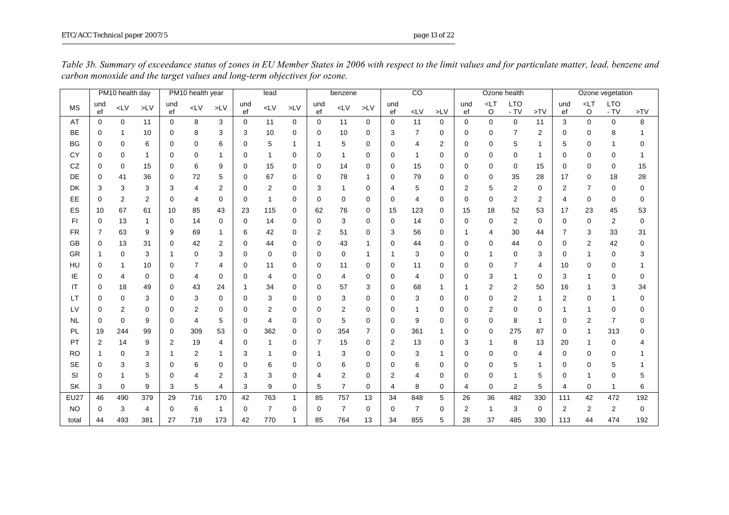|             |                | PM10 health day |             |                | PM10 health year |                |           | lead           |              |                | benzene        |                |           | $\overline{c}$ |               |           |                   | Ozone health       |                |           |                | Ozone vegetation     |                 |
|-------------|----------------|-----------------|-------------|----------------|------------------|----------------|-----------|----------------|--------------|----------------|----------------|----------------|-----------|----------------|---------------|-----------|-------------------|--------------------|----------------|-----------|----------------|----------------------|-----------------|
| <b>MS</b>   | und<br>ef      | $L$ V           | $>$ LV      | und<br>ef      | $L$ V            | $>$ LV         | und<br>ef | $L$ V          | $>$ LV       | und<br>ef      | $L$ V          | $>$ LV         | und<br>ef | $\mathsf{cLV}$ | $\mathsf{LV}$ | und<br>ef | $<$ LT<br>$\circ$ | <b>LTO</b><br>- TV | >TV            | und<br>ef | $<$ LT<br>O    | <b>LTO</b><br>$- TV$ | $>\!\!{\sf TV}$ |
| AT          | $\Omega$       | $\Omega$        | 11          | $\Omega$       | 8                | 3              | $\Omega$  | 11             | $\Omega$     | $\Omega$       | 11             | $\mathbf 0$    | $\Omega$  | 11             | $\Omega$      | $\Omega$  | $\Omega$          | $\Omega$           | 11             | 3         | $\Omega$       | $\Omega$             | 8               |
| <b>BE</b>   | $\Omega$       | 1               | 10          | $\Omega$       | 8                | 3              | 3         | 10             | $\Omega$     | 0              | 10             | 0              | 3         | $\overline{7}$ | $\Omega$      | $\Omega$  | 0                 |                    | 2              | 0         | 0              | 8                    |                 |
| <b>BG</b>   | $\Omega$       | $\Omega$        | 6           | $\Omega$       | 0                | 6              | $\Omega$  | 5              | 1            | $\mathbf{1}$   | 5              | $\mathbf 0$    | $\Omega$  | 4              | 2             | $\Omega$  | $\Omega$          | 5                  | 1              | 5         | $\Omega$       |                      | $\Omega$        |
| CY          | 0              | 0               | 1           | $\Omega$       | $\Omega$         | 1              | $\Omega$  | $\mathbf 1$    | 0            | 0              | 1              | 0              | $\Omega$  | 1              | $\Omega$      | $\Omega$  | 0                 | 0                  | 1              | 0         | 0              | 0                    |                 |
| CZ          | $\Omega$       | 0               | 15          | $\Omega$       | 6                | 9              | 0         | 15             | $\Omega$     | 0              | 14             | 0              | $\Omega$  | 15             | 0             | 0         | 0                 | 0                  | 15             | $\Omega$  | 0              | $\Omega$             | 15              |
| DE          | $\Omega$       | 41              | 36          | 0              | 72               | 5              | 0         | 67             | 0            | 0              | 78             | 1              | 0         | 79             | 0             | 0         | 0                 | 35                 | 28             | 17        | 0              | 18                   | 28              |
| <b>DK</b>   | 3              | 3               | 3           | 3              | 4                | $\overline{2}$ | 0         | $\overline{2}$ | $\Omega$     | 3              | 1              | 0              | 4         | 5              | $\Omega$      | 2         | 5                 | 2                  | 0              | 2         | $\overline{7}$ | $\Omega$             | $\Omega$        |
| EE          | $\Omega$       | $\overline{2}$  | 2           | $\Omega$       | 4                | 0              | 0         | $\mathbf{1}$   | 0            | $\Omega$       | 0              | 0              | $\Omega$  | 4              | $\Omega$      | $\Omega$  | 0                 | $\overline{2}$     | $\overline{2}$ | 4         | 0              | $\Omega$             | $\Omega$        |
| ES          | 10             | 67              | 61          | 10             | 85               | 43             | 23        | 115            | $\Omega$     | 62             | 76             | $\mathbf 0$    | 15        | 123            | $\Omega$      | 15        | 18                | 52                 | 53             | 17        | 23             | 45                   | 53              |
| FI          | $\Omega$       | 13              | -1          | $\Omega$       | 14               | 0              | 0         | 14             | 0            | 0              | 3              | 0              | 0         | 14             | $\mathbf 0$   | 0         | 0                 | 2                  | 0              | 0         | 0              | $\overline{2}$       | $\Omega$        |
| <b>FR</b>   | $\overline{7}$ | 63              | 9           | 9              | 69               | 1              | 6         | 42             | 0            | 2              | 51             | $\mathbf 0$    | 3         | 56             | $\mathbf 0$   |           | 4                 | 30                 | 44             | 7         | 3              | 33                   | 31              |
| GB          | $\Omega$       | 13              | 31          | 0              | 42               | 2              | 0         | 44             | 0            | $\Omega$       | 43             | 1              | $\Omega$  | 44             | $\Omega$      | $\Omega$  | 0                 | 44                 | $\Omega$       | $\Omega$  | $\overline{2}$ | 42                   | $\Omega$        |
| GR          |                | $\Omega$        | 3           |                | $\Omega$         | 3              | 0         | 0              | $\Omega$     | $\Omega$       | 0              | -1             |           | 3              | $\Omega$      | $\Omega$  |                   | 0                  | 3              | 0         | 1              | $\Omega$             | 3               |
| HU          | $\Omega$       |                 | 10          | $\Omega$       | $\overline{7}$   | 4              | 0         | 11             | $\Omega$     | 0              | 11             | $\mathbf 0$    | $\Omega$  | 11             | $\Omega$      | $\Omega$  | $\Omega$          |                    | 4              | 10        | $\Omega$       | $\Omega$             |                 |
| IE          | 0              | 4               | $\mathbf 0$ | $\Omega$       | 4                | 0              | 0         | 4              | 0            | 0              | 4              | 0              | 0         | 4              | $\mathbf 0$   | 0         | 3                 | -1                 | 0              | 3         | 1              | 0                    | $\Omega$        |
| IT          | 0              | 18              | 49          | $\Omega$       | 43               | 24             | 1         | 34             | $\Omega$     | 0              | 57             | 3              | 0         | 68             | $\mathbf 1$   |           | 2                 | 2                  | 50             | 16        | 1              | 3                    | 34              |
| <b>LT</b>   | 0              | 0               | 3           | 0              | 3                | $\Omega$       | 0         | 3              | 0            | 0              | 3              | 0              | $\Omega$  | 3              | $\Omega$      | 0         | 0                 | 2                  |                | 2         | 0              | 1                    | 0               |
| LV          | $\Omega$       | 2               | $\Omega$    | $\Omega$       | $\overline{2}$   | 0              | 0         | 2              | $\Omega$     | $\Omega$       | 2              | 0              | $\Omega$  | 1              | $\Omega$      | $\Omega$  | 2                 | $\Omega$           | $\Omega$       |           |                | $\Omega$             | 0               |
| <b>NL</b>   | $\Omega$       | 0               | 9           | $\Omega$       | $\overline{4}$   | 5              | $\Omega$  | $\overline{4}$ | $\Omega$     | $\mathbf 0$    | 5              | 0              | $\Omega$  | 9              | $\Omega$      | $\Omega$  | 0                 | 8                  |                | 0         | $\overline{2}$ | $\overline{7}$       | 0               |
| PL          | 19             | 244             | 99          | $\Omega$       | 309              | 53             | 0         | 362            | 0            | 0              | 354            | $\overline{7}$ | $\Omega$  | 361            | -1            | $\Omega$  | 0                 | 275                | 87             | 0         | 1              | 313                  | <sup>0</sup>    |
| PT          | $\overline{2}$ | 14              | 9           | $\overline{2}$ | 19               | 4              | 0         | 1              | 0            | $\overline{7}$ | 15             | $\mathbf 0$    | 2         | 13             | $\mathbf 0$   | 3         |                   | 8                  | 13             | 20        |                | $\Omega$             |                 |
| <b>RO</b>   |                | 0               | 3           |                | 2                | 1              | 3         | 1              | 0            | 1              | 3              | 0              | $\Omega$  | 3              |               | $\Omega$  | 0                 | 0                  | 4              | 0         | 0              | 0                    |                 |
| <b>SE</b>   | $\Omega$       | 3               | 3           | $\Omega$       | 6                | $\Omega$       | 0         | 6              | $\Omega$     | $\Omega$       | 6              | 0              | $\Omega$  | 6              | $\Omega$      | $\Omega$  | $\Omega$          |                    |                | 0         | 0              | 5                    |                 |
| SI          | $\Omega$       |                 | 5           | $\Omega$       | 4                | 2              | 3         | 3              | $\Omega$     | 4              | $\overline{2}$ | $\mathbf 0$    | 2         | 4              | $\Omega$      | $\Omega$  | $\Omega$          |                    | 5              | 0         | 1              | $\Omega$             | 5               |
| <b>SK</b>   | 3              | $\mathbf 0$     | 9           | 3              | 5                | 4              | 3         | 9              | $\Omega$     | 5              | $\overline{7}$ | $\mathbf 0$    | 4         | 8              | $\mathbf 0$   | 4         | 0                 | $\overline{2}$     | 5              | 4         | 0              | $\mathbf{1}$         | 6               |
| <b>EU27</b> | 46             | 490             | 379         | 29             | 716              | 170            | 42        | 763            | $\mathbf{1}$ | 85             | 757            | 13             | 34        | 848            | 5             | 26        | 36                | 482                | 330            | 111       | 42             | 472                  | 192             |
| <b>NO</b>   | $\Omega$       | 3               | 4           | $\Omega$       | 6                | 1              | $\Omega$  | $\overline{7}$ | $\Omega$     | $\Omega$       | $\overline{7}$ | $\mathbf 0$    | $\Omega$  | $\overline{7}$ | $\Omega$      | 2         | 1                 | 3                  | 0              | 2         | 2              | $\overline{2}$       | $\Omega$        |
| total       | 44             | 493             | 381         | 27             | 718              | 173            | 42        | 770            |              | 85             | 764            | 13             | 34        | 855            | 5             | 28        | 37                | 485                | 330            | 113       | 44             | 474                  | 192             |

*Table 3b. Summary of exceedance status of zones in EU Member States in 2006 with respect to the limit values and for particulate matter, lead, benzene and carbon monoxide and the target values and long-term objectives for ozone.*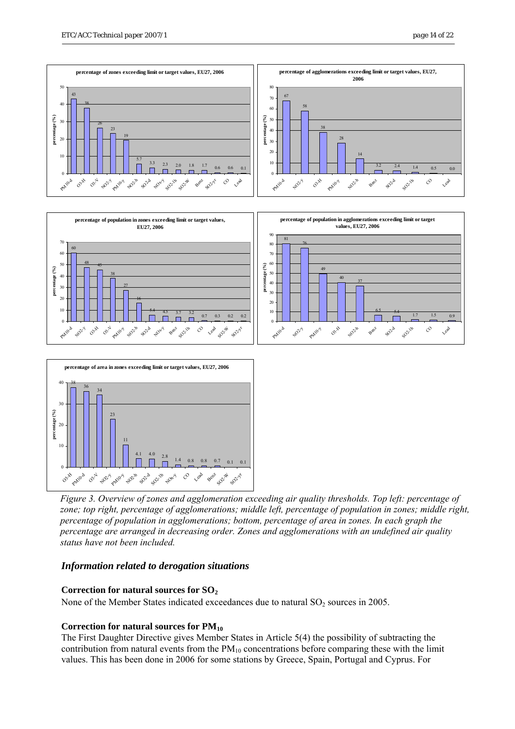

*Figure 3. Overview of zones and agglomeration exceeding air quality thresholds. Top left: percentage of zone; top right, percentage of agglomerations; middle left, percentage of population in zones; middle right, percentage of population in agglomerations; bottom, percentage of area in zones. In each graph the percentage are arranged in decreasing order. Zones and agglomerations with an undefined air quality status have not been included.* 

### *Information related to derogation situations*

### **Correction for natural sources for SO2**

None of the Member States indicated exceedances due to natural  $SO_2$  sources in 2005.

### Correction for natural sources for  $PM_{10}$

The First Daughter Directive gives Member States in Article 5(4) the possibility of subtracting the contribution from natural events from the  $PM_{10}$  concentrations before comparing these with the limit values. This has been done in 2006 for some stations by Greece, Spain, Portugal and Cyprus. For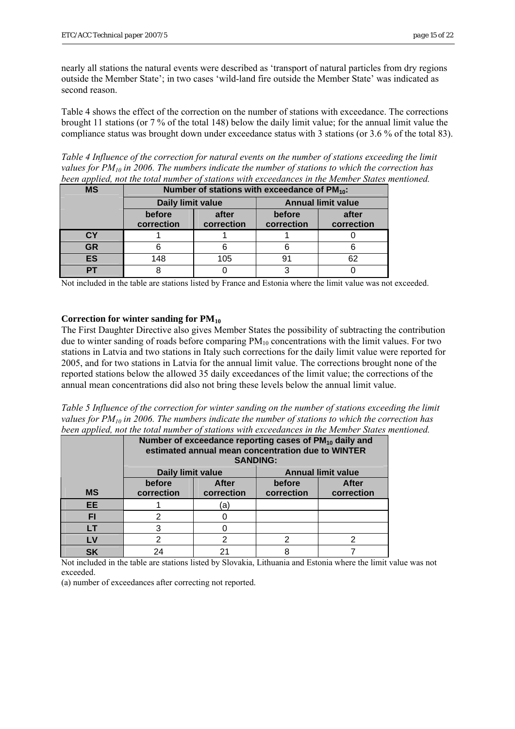nearly all stations the natural events were described as 'transport of natural particles from dry regions outside the Member State'; in two cases 'wild-land fire outside the Member State' was indicated as second reason.

Table 4 shows the effect of the correction on the number of stations with exceedance. The corrections brought 11 stations (or 7 % of the total 148) below the daily limit value; for the annual limit value the compliance status was brought down under exceedance status with 3 stations (or 3.6 % of the total 83).

*Table 4 Influence of the correction for natural events on the number of stations exceeding the limit values for PM10 in 2006. The numbers indicate the number of stations to which the correction has been applied, not the total number of stations with exceedances in the Member States mentioned.* 

| <b>MS</b> | Number of stations with exceedance of PM <sub>10</sub> : |                     |                           |                     |  |  |  |  |  |  |  |  |
|-----------|----------------------------------------------------------|---------------------|---------------------------|---------------------|--|--|--|--|--|--|--|--|
|           | Daily limit value                                        |                     | <b>Annual limit value</b> |                     |  |  |  |  |  |  |  |  |
|           | before<br>correction                                     | after<br>correction | before<br>correction      | after<br>correction |  |  |  |  |  |  |  |  |
|           |                                                          |                     |                           |                     |  |  |  |  |  |  |  |  |
| СY        |                                                          |                     |                           |                     |  |  |  |  |  |  |  |  |
| <b>GR</b> |                                                          |                     |                           |                     |  |  |  |  |  |  |  |  |
| <b>ES</b> | 148                                                      | 105                 |                           |                     |  |  |  |  |  |  |  |  |
|           |                                                          |                     |                           |                     |  |  |  |  |  |  |  |  |

Not included in the table are stations listed by France and Estonia where the limit value was not exceeded.

### **Correction for winter sanding for PM10**

The First Daughter Directive also gives Member States the possibility of subtracting the contribution due to winter sanding of roads before comparing  $PM_{10}$  concentrations with the limit values. For two stations in Latvia and two stations in Italy such corrections for the daily limit value were reported for 2005, and for two stations in Latvia for the annual limit value. The corrections brought none of the reported stations below the allowed 35 daily exceedances of the limit value; the corrections of the annual mean concentrations did also not bring these levels below the annual limit value.

*Table 5 Influence of the correction for winter sanding on the number of stations exceeding the limit values for PM10 in 2006. The numbers indicate the number of stations to which the correction has been applied, not the total number of stations with exceedances in the Member States mentioned.* 

|           | Number of exceedance reporting cases of PM <sub>10</sub> daily and<br>estimated annual mean concentration due to WINTER<br><b>SANDING:</b> |              |                           |              |  |  |  |  |  |  |  |  |
|-----------|--------------------------------------------------------------------------------------------------------------------------------------------|--------------|---------------------------|--------------|--|--|--|--|--|--|--|--|
|           | Daily limit value                                                                                                                          |              | <b>Annual limit value</b> |              |  |  |  |  |  |  |  |  |
|           | before                                                                                                                                     | <b>After</b> | before                    | <b>After</b> |  |  |  |  |  |  |  |  |
| <b>MS</b> | correction                                                                                                                                 | correction   | correction                | correction   |  |  |  |  |  |  |  |  |
| <b>EE</b> |                                                                                                                                            | ā            |                           |              |  |  |  |  |  |  |  |  |
| FI        | 2                                                                                                                                          |              |                           |              |  |  |  |  |  |  |  |  |
| LT        | 3                                                                                                                                          |              |                           |              |  |  |  |  |  |  |  |  |
| LV        | 2                                                                                                                                          |              |                           | າ            |  |  |  |  |  |  |  |  |
| SK        | 24                                                                                                                                         |              |                           |              |  |  |  |  |  |  |  |  |

Not included in the table are stations listed by Slovakia, Lithuania and Estonia where the limit value was not exceeded.

(a) number of exceedances after correcting not reported.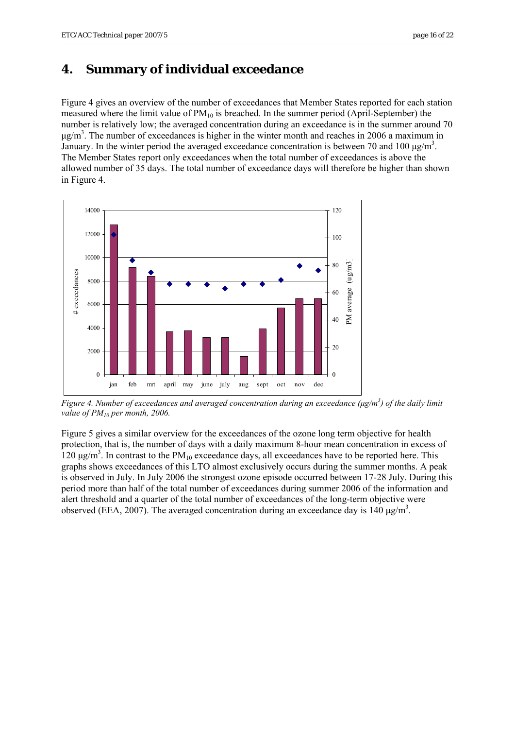## <span id="page-15-0"></span>**4. Summary of individual exceedance**

Figure 4 gives an overview of the number of exceedances that Member States reported for each station measured where the limit value of  $PM_{10}$  is breached. In the summer period (April-September) the number is relatively low; the averaged concentration during an exceedance is in the summer around 70  $\mu$ g/m<sup>3</sup>. The number of exceedances is higher in the winter month and reaches in 2006 a maximum in January. In the winter period the averaged exceedance concentration is between 70 and 100  $\mu$ g/m<sup>3</sup>. The Member States report only exceedances when the total number of exceedances is above the allowed number of 35 days. The total number of exceedance days will therefore be higher than shown in Figure 4.



*Figure 4. Number of exceedances and averaged concentration during an exceedance (μg/m3 ) of the daily limit value of PM10 per month, 2006.* 

Figure 5 gives a similar overview for the exceedances of the ozone long term objective for health protection, that is, the number of days with a daily maximum 8-hour mean concentration in excess of  $120 \mu g/m<sup>3</sup>$ . In contrast to the PM<sub>10</sub> exceedance days, all exceedances have to be reported here. This graphs shows exceedances of this LTO almost exclusively occurs during the summer months. A peak is observed in July. In July 2006 the strongest ozone episode occurred between 17-28 July. During this period more than half of the total number of exceedances during summer 2006 of the information and alert threshold and a quarter of the total number of exceedances of the long-term objective were observed (EEA, 2007). The averaged concentration during an exceedance day is 140  $\mu$ g/m<sup>3</sup>.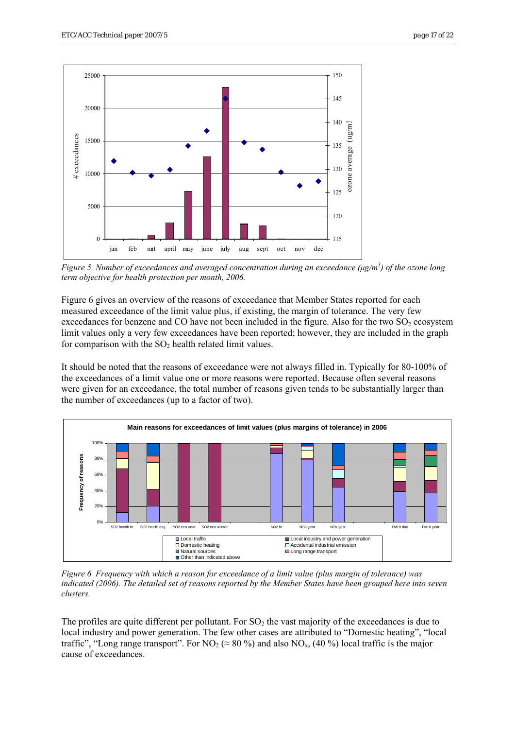

*Figure 5. Number of exceedances and averaged concentration during an exceedance (μg/m3 ) of the ozone long term objective for health protection per month, 2006.* 

Figure 6 gives an overview of the reasons of exceedance that Member States reported for each measured exceedance of the limit value plus, if existing, the margin of tolerance. The very few exceedances for benzene and CO have not been included in the figure. Also for the two  $SO<sub>2</sub>$  ecosystem limit values only a very few exceedances have been reported; however, they are included in the graph for comparison with the  $SO_2$  health related limit values.

It should be noted that the reasons of exceedance were not always filled in. Typically for 80-100% of the exceedances of a limit value one or more reasons were reported. Because often several reasons were given for an exceedance, the total number of reasons given tends to be substantially larger than the number of exceedances (up to a factor of two).



*Figure 6 Frequency with which a reason for exceedance of a limit value (plus margin of tolerance) was indicated (2006). The detailed set of reasons reported by the Member States have been grouped here into seven clusters.* 

The profiles are quite different per pollutant. For  $SO<sub>2</sub>$  the vast majority of the exceedances is due to local industry and power generation. The few other cases are attributed to "Domestic heating", "local traffic", "Long range transport". For  $NO_2 \approx 80\%$ ) and also  $NO_x$ , (40%) local traffic is the major cause of exceedances.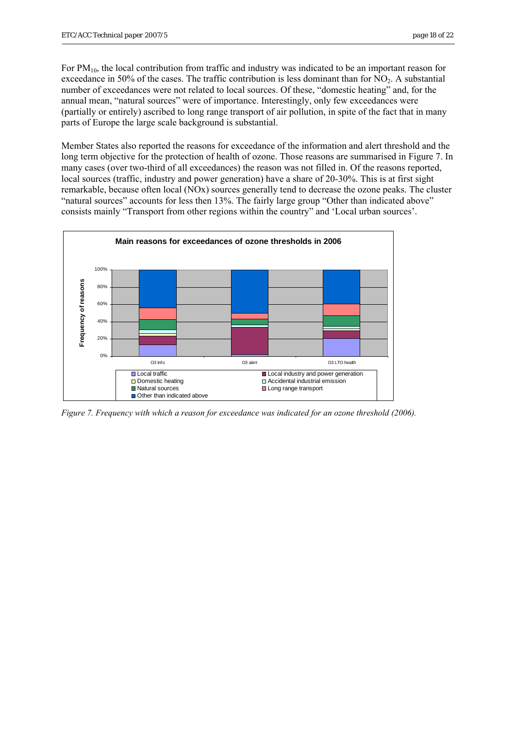For PM<sub>10</sub>, the local contribution from traffic and industry was indicated to be an important reason for exceedance in 50% of the cases. The traffic contribution is less dominant than for  $NO<sub>2</sub>$ . A substantial number of exceedances were not related to local sources. Of these, "domestic heating" and, for the annual mean, "natural sources" were of importance. Interestingly, only few exceedances were (partially or entirely) ascribed to long range transport of air pollution, in spite of the fact that in many parts of Europe the large scale background is substantial.

Member States also reported the reasons for exceedance of the information and alert threshold and the long term objective for the protection of health of ozone. Those reasons are summarised in Figure 7. In many cases (over two-third of all exceedances) the reason was not filled in. Of the reasons reported, local sources (traffic, industry and power generation) have a share of 20-30%. This is at first sight remarkable, because often local (NOx) sources generally tend to decrease the ozone peaks. The cluster "natural sources" accounts for less then 13%. The fairly large group "Other than indicated above" consists mainly "Transport from other regions within the country" and 'Local urban sources'.



*Figure 7. Frequency with which a reason for exceedance was indicated for an ozone threshold (2006).*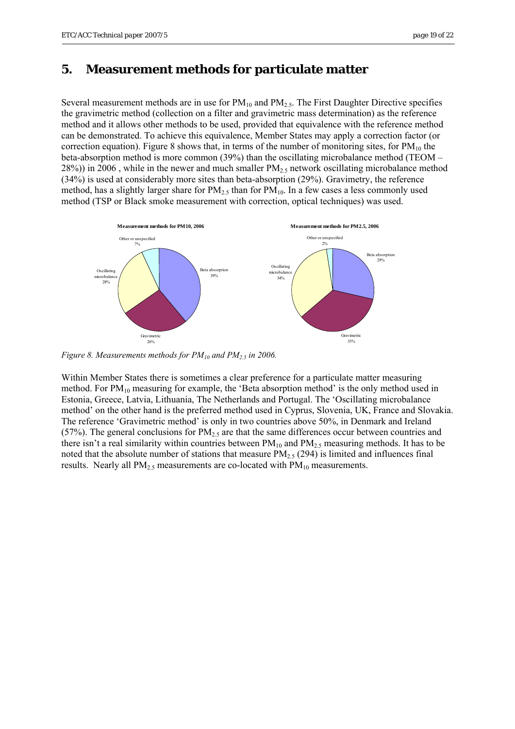## <span id="page-18-0"></span>**5. Measurement methods for particulate matter**

Several measurement methods are in use for  $PM_{10}$  and  $PM_{2.5}$ . The First Daughter Directive specifies the gravimetric method (collection on a filter and gravimetric mass determination) as the reference method and it allows other methods to be used, provided that equivalence with the reference method can be demonstrated. To achieve this equivalence, Member States may apply a correction factor (or correction equation). Figure 8 shows that, in terms of the number of monitoring sites, for  $PM_{10}$  the beta-absorption method is more common (39%) than the oscillating microbalance method (TEOM –  $28\%)$ ) in 2006, while in the newer and much smaller PM<sub>2.5</sub> network oscillating microbalance method (34%) is used at considerably more sites than beta-absorption (29%). Gravimetry, the reference method, has a slightly larger share for  $PM_{2.5}$  than for  $PM_{10}$ . In a few cases a less commonly used method (TSP or Black smoke measurement with correction, optical techniques) was used.



*Figure 8. Measurements methods for PM*<sub>10</sub> and PM<sub>2.5</sub> in 2006.

Within Member States there is sometimes a clear preference for a particulate matter measuring method. For PM<sub>10</sub> measuring for example, the 'Beta absorption method' is the only method used in Estonia, Greece, Latvia, Lithuania, The Netherlands and Portugal. The 'Oscillating microbalance method' on the other hand is the preferred method used in Cyprus, Slovenia, UK, France and Slovakia. The reference 'Gravimetric method' is only in two countries above 50%, in Denmark and Ireland (57%). The general conclusions for  $PM_{2.5}$  are that the same differences occur between countries and there isn't a real similarity within countries between  $PM_{10}$  and  $PM_{2.5}$  measuring methods. It has to be noted that the absolute number of stations that measure  $PM_{2.5}$  (294) is limited and influences final results. Nearly all  $PM_{2.5}$  measurements are co-located with  $PM_{10}$  measurements.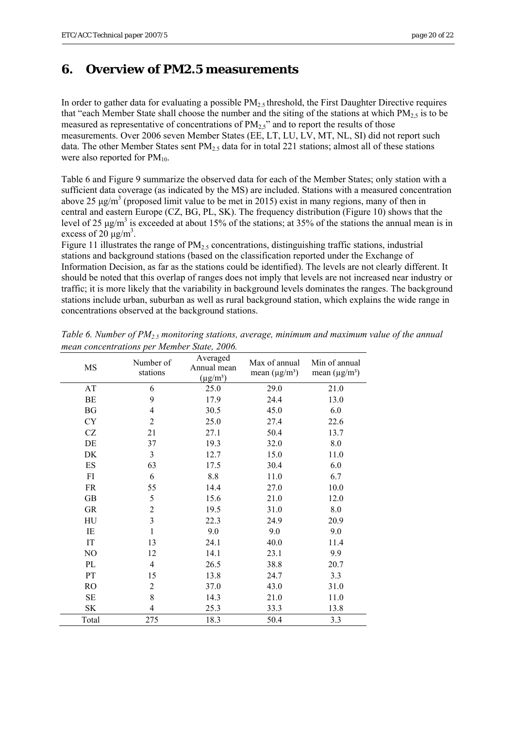## <span id="page-19-0"></span>**6. Overview of PM2.5 measurements**

In order to gather data for evaluating a possible  $PM_{2.5}$  threshold, the First Daughter Directive requires that "each Member State shall choose the number and the siting of the stations at which  $PM_2$ <sub>5</sub> is to be measured as representative of concentrations of  $PM_{2,5}$ " and to report the results of those measurements. Over 2006 seven Member States (EE, LT, LU, LV, MT, NL, SI) did not report such data. The other Member States sent  $PM_{2.5}$  data for in total 221 stations; almost all of these stations were also reported for  $PM_{10}$ .

Table 6 and Figure 9 summarize the observed data for each of the Member States; only station with a sufficient data coverage (as indicated by the MS) are included. Stations with a measured concentration above 25  $\mu$ g/m<sup>3</sup> (proposed limit value to be met in 2015) exist in many regions, many of then in central and eastern Europe (CZ, BG, PL, SK). The frequency distribution (Figure 10) shows that the level of 25  $\mu$ g/m<sup>3</sup> is exceeded at about 15% of the stations; at 35% of the stations the annual mean is in excess of  $20 \mu g/m^3$ .

Figure 11 illustrates the range of  $PM<sub>2.5</sub>$  concentrations, distinguishing traffic stations, industrial stations and background stations (based on the classification reported under the Exchange of Information Decision, as far as the stations could be identified). The levels are not clearly different. It should be noted that this overlap of ranges does not imply that levels are not increased near industry or traffic; it is more likely that the variability in background levels dominates the ranges. The background stations include urban, suburban as well as rural background station, which explains the wide range in concentrations observed at the background stations.

| MS             | Number of<br>stations   | Averaged<br>Annual mean<br>$(\mu g/m^3)$ | Max of annual<br>mean $(\mu g/m^3)$ | Min of annual<br>mean $(\mu g/m^3)$ |
|----------------|-------------------------|------------------------------------------|-------------------------------------|-------------------------------------|
| AT             | 6                       | 25.0                                     | 29.0                                | 21.0                                |
| BE             | 9                       | 17.9                                     | 24.4                                | 13.0                                |
| BG             | 4                       | 30.5                                     | 45.0                                | 6.0                                 |
| <b>CY</b>      | $\overline{2}$          | 25.0                                     | 27.4                                | 22.6                                |
| CZ             | 21                      | 27.1                                     | 50.4                                | 13.7                                |
| DE             | 37                      | 19.3                                     | 32.0                                | 8.0                                 |
| DK             | $\mathfrak{Z}$          | 12.7                                     | 15.0                                | 11.0                                |
| ES             | 63                      | 17.5                                     | 30.4                                | 6.0                                 |
| FI             | 6                       | 8.8                                      | 11.0                                | 6.7                                 |
| FR             | 55                      | 14.4                                     | 27.0                                | 10.0                                |
| <b>GB</b>      | 5                       | 15.6                                     | 21.0                                | 12.0                                |
| <b>GR</b>      | $\overline{c}$          | 19.5                                     | 31.0                                | 8.0                                 |
| HU             | $\overline{\mathbf{3}}$ | 22.3                                     | 24.9                                | 20.9                                |
| IE             | 1                       | 9.0                                      | 9.0                                 | 9.0                                 |
| IT             | 13                      | 24.1                                     | 40.0                                | 11.4                                |
| N <sub>O</sub> | 12                      | 14.1                                     | 23.1                                | 9.9                                 |
| PL             | $\overline{4}$          | 26.5                                     | 38.8                                | 20.7                                |
| PT             | 15                      | 13.8                                     | 24.7                                | 3.3                                 |
| RO             | $\mathfrak{2}$          | 37.0                                     | 43.0                                | 31.0                                |
| SЕ             | 8                       | 14.3                                     | 21.0                                | 11.0                                |
| <b>SK</b>      | 4                       | 25.3                                     | 33.3                                | 13.8                                |
| Total          | 275                     | 18.3                                     | 50.4                                | 3.3                                 |

*Table 6. Number of PM2.5 monitoring stations, average, minimum and maximum value of the annual mean concentrations per Member State, 2006.*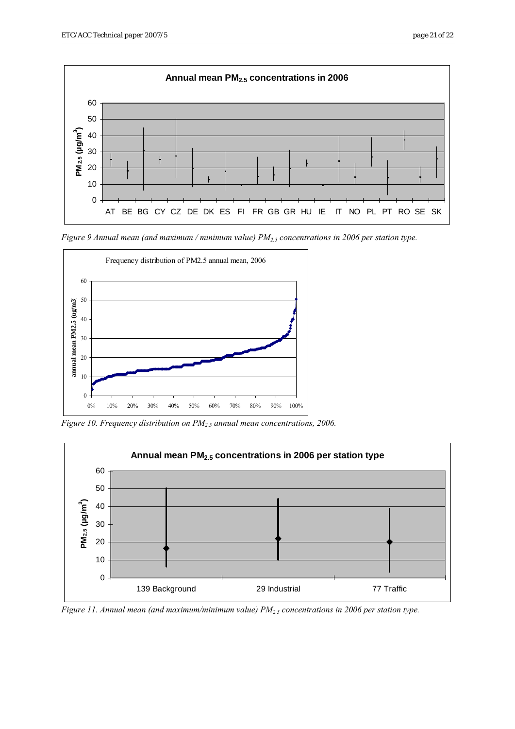

*Figure 9 Annual mean (and maximum / minimum value) PM2.5 concentrations in 2006 per station type.* 



*Figure 10. Frequency distribution on PM2.5 annual mean concentrations, 2006.* 



*Figure 11. Annual mean (and maximum/minimum value) PM*<sub>2.5</sub> concentrations in 2006 per station type.